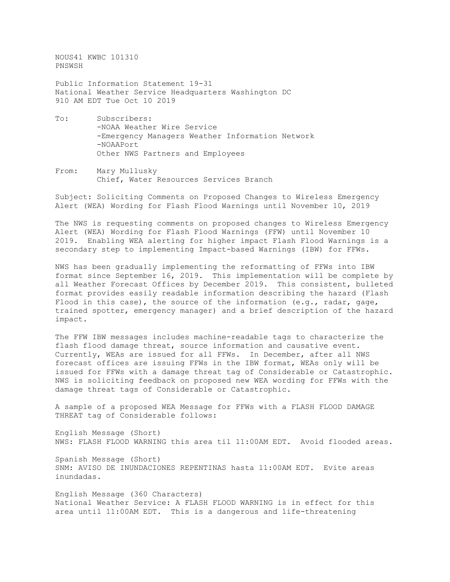NOUS41 KWBC 101310 PNSWSH

Public Information Statement 19-31 National Weather Service Headquarters Washington DC 910 AM EDT Tue Oct 10 2019

- To: Subscribers: -NOAA Weather Wire Service -Emergency Managers Weather Information Network -NOAAPort Other NWS Partners and Employees
- From: Mary Mullusky Chief, Water Resources Services Branch

Subject: Soliciting Comments on Proposed Changes to Wireless Emergency Alert (WEA) Wording for Flash Flood Warnings until November 10, 2019

The NWS is requesting comments on proposed changes to Wireless Emergency Alert (WEA) Wording for Flash Flood Warnings (FFW) until November 10 2019. Enabling WEA alerting for higher impact Flash Flood Warnings is a secondary step to implementing Impact-based Warnings (IBW) for FFWs.

NWS has been gradually implementing the reformatting of FFWs into IBW format since September 16, 2019. This implementation will be complete by all Weather Forecast Offices by December 2019. This consistent, bulleted format provides easily readable information describing the hazard (Flash Flood in this case), the source of the information  $(e.g.,$  radar, gage, trained spotter, emergency manager) and a brief description of the hazard impact.

The FFW IBW messages includes machine-readable tags to characterize the flash flood damage threat, source information and causative event. Currently, WEAs are issued for all FFWs. In December, after all NWS forecast offices are issuing FFWs in the IBW format, WEAs only will be issued for FFWs with a damage threat tag of Considerable or Catastrophic. NWS is soliciting feedback on proposed new WEA wording for FFWs with the damage threat tags of Considerable or Catastrophic.

A sample of a proposed WEA Message for FFWs with a FLASH FLOOD DAMAGE THREAT tag of Considerable follows:

English Message (Short) NWS: FLASH FLOOD WARNING this area til 11:00AM EDT. Avoid flooded areas.

Spanish Message (Short) SNM: AVISO DE INUNDACIONES REPENTINAS hasta 11:00AM EDT. Evite areas inundadas.

English Message (360 Characters) National Weather Service: A FLASH FLOOD WARNING is in effect for this area until 11:00AM EDT. This is a dangerous and life-threatening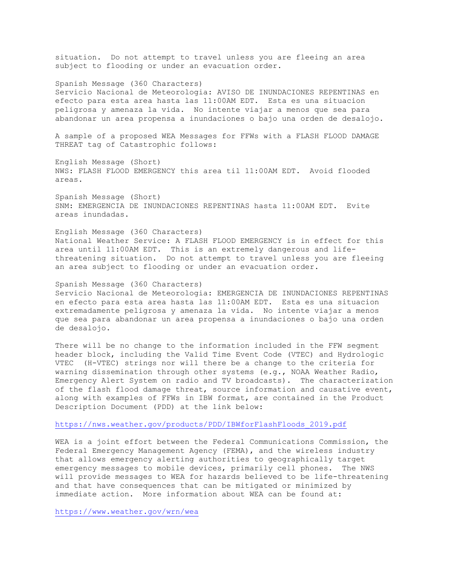situation. Do not attempt to travel unless you are fleeing an area subject to flooding or under an evacuation order.

Spanish Message (360 Characters) Servicio Nacional de Meteorologia: AVISO DE INUNDACIONES REPENTINAS en efecto para esta area hasta las 11:00AM EDT. Esta es una situacion peligrosa y amenaza la vida. No intente viajar a menos que sea para abandonar un area propensa a inundaciones o bajo una orden de desalojo.

A sample of a proposed WEA Messages for FFWs with a FLASH FLOOD DAMAGE THREAT tag of Catastrophic follows:

English Message (Short) NWS: FLASH FLOOD EMERGENCY this area til 11:00AM EDT. Avoid flooded areas.

Spanish Message (Short) SNM: EMERGENCIA DE INUNDACIONES REPENTINAS hasta 11:00AM EDT. Evite areas inundadas.

English Message (360 Characters) National Weather Service: A FLASH FLOOD EMERGENCY is in effect for this area until 11:00AM EDT. This is an extremely dangerous and lifethreatening situation. Do not attempt to travel unless you are fleeing an area subject to flooding or under an evacuation order.

Spanish Message (360 Characters) Servicio Nacional de Meteorologia: EMERGENCIA DE INUNDACIONES REPENTINAS en efecto para esta area hasta las 11:00AM EDT. Esta es una situacion extremadamente peligrosa y amenaza la vida. No intente viajar a menos que sea para abandonar un area propensa a inundaciones o bajo una orden de desalojo.

There will be no change to the information included in the FFW segment header block, including the Valid Time Event Code (VTEC) and Hydrologic VTEC (H-VTEC) strings nor will there be a change to the criteria for warning dissemination through other systems (e.g., NOAA Weather Radio, Emergency Alert System on radio and TV broadcasts). The characterization of the flash flood damage threat, source information and causative event, along with examples of FFWs in IBW format, are contained in the Product Description Document (PDD) at the link below:

## [https://nws.weather.gov/products/PDD/IBWforFlashFloods\\_2019.pdf](https://nws.weather.gov/products/PDD/IBWforFlashFloods_2019.pdf)

WEA is a joint effort between the Federal Communications Commission, the Federal Emergency Management Agency (FEMA), and the wireless industry that allows emergency alerting authorities to geographically target emergency messages to mobile devices, primarily cell phones. The NWS will provide messages to WEA for hazards believed to be life-threatening and that have consequences that can be mitigated or minimized by immediate action. More information about WEA can be found at:

<https://www.weather.gov/wrn/wea>